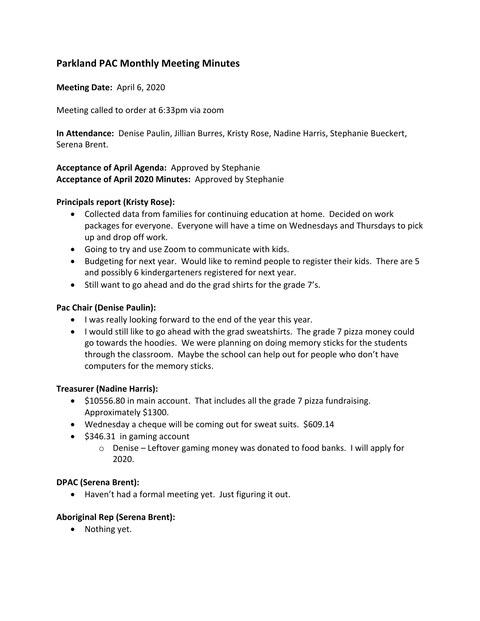# **Parkland PAC Monthly Meeting Minutes**

**Meeting Date:** April 6, 2020

Meeting called to order at 6:33pm via zoom

**In Attendance:** Denise Paulin, Jillian Burres, Kristy Rose, Nadine Harris, Stephanie Bueckert, Serena Brent.

# **Acceptance of April Agenda:** Approved by Stephanie **Acceptance of April 2020 Minutes:** Approved by Stephanie

### **Principals report (Kristy Rose):**

- Collected data from families for continuing education at home. Decided on work packages for everyone. Everyone will have a time on Wednesdays and Thursdays to pick up and drop off work.
- Going to try and use Zoom to communicate with kids.
- Budgeting for next year. Would like to remind people to register their kids. There are 5 and possibly 6 kindergarteners registered for next year.
- Still want to go ahead and do the grad shirts for the grade 7's.

## **Pac Chair (Denise Paulin):**

- I was really looking forward to the end of the year this year.
- I would still like to go ahead with the grad sweatshirts. The grade 7 pizza money could go towards the hoodies. We were planning on doing memory sticks for the students through the classroom. Maybe the school can help out for people who don't have computers for the memory sticks.

#### **Treasurer (Nadine Harris):**

- \$10556.80 in main account. That includes all the grade 7 pizza fundraising. Approximately \$1300.
- Wednesday a cheque will be coming out for sweat suits. \$609.14
- \$346.31 in gaming account
	- o Denise Leftover gaming money was donated to food banks. I will apply for 2020.

#### **DPAC (Serena Brent):**

• Haven't had a formal meeting yet. Just figuring it out.

#### **Aboriginal Rep (Serena Brent):**

• Nothing yet.